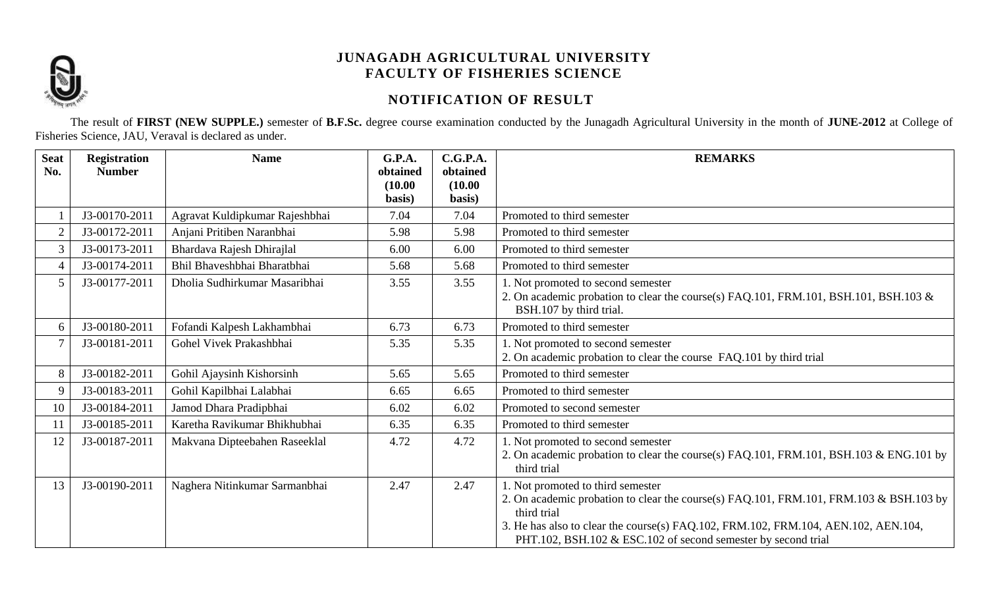

# **NOTIFICATION OF RESULT**

The result of **FIRST (NEW SUPPLE.)** semester of **B.F.Sc.** degree course examination conducted by the Junagadh Agricultural University in the month of **JUNE-2012** at College of Fisheries Science, JAU, Veraval is declared as under.

| <b>Seat</b><br>No. | <b>Registration</b><br><b>Number</b> | <b>Name</b>                    | <b>G.P.A.</b><br>obtained | C.G.P.A.<br>obtained | <b>REMARKS</b>                                                                                                                                                                                                                                                                                    |
|--------------------|--------------------------------------|--------------------------------|---------------------------|----------------------|---------------------------------------------------------------------------------------------------------------------------------------------------------------------------------------------------------------------------------------------------------------------------------------------------|
|                    |                                      |                                | (10.00)                   | (10.00)              |                                                                                                                                                                                                                                                                                                   |
|                    |                                      |                                | basis)                    | basis)               |                                                                                                                                                                                                                                                                                                   |
|                    | J3-00170-2011                        | Agravat Kuldipkumar Rajeshbhai | 7.04                      | 7.04                 | Promoted to third semester                                                                                                                                                                                                                                                                        |
| $\overline{2}$     | J3-00172-2011                        | Anjani Pritiben Naranbhai      | 5.98                      | 5.98                 | Promoted to third semester                                                                                                                                                                                                                                                                        |
| 3                  | J3-00173-2011                        | Bhardava Rajesh Dhirajlal      | 6.00                      | 6.00                 | Promoted to third semester                                                                                                                                                                                                                                                                        |
| $\overline{4}$     | J3-00174-2011                        | Bhil Bhaveshbhai Bharatbhai    | 5.68                      | 5.68                 | Promoted to third semester                                                                                                                                                                                                                                                                        |
| 5                  | J3-00177-2011                        | Dholia Sudhirkumar Masaribhai  | 3.55                      | 3.55                 | 1. Not promoted to second semester<br>2. On academic probation to clear the course(s) FAQ.101, FRM.101, BSH.101, BSH.103 &<br>BSH.107 by third trial.                                                                                                                                             |
| 6                  | J3-00180-2011                        | Fofandi Kalpesh Lakhambhai     | 6.73                      | 6.73                 | Promoted to third semester                                                                                                                                                                                                                                                                        |
| 7                  | J3-00181-2011                        | Gohel Vivek Prakashbhai        | 5.35                      | 5.35                 | 1. Not promoted to second semester<br>2. On academic probation to clear the course FAQ.101 by third trial                                                                                                                                                                                         |
| 8                  | J3-00182-2011                        | Gohil Ajaysinh Kishorsinh      | 5.65                      | 5.65                 | Promoted to third semester                                                                                                                                                                                                                                                                        |
| 9                  | J3-00183-2011                        | Gohil Kapilbhai Lalabhai       | 6.65                      | 6.65                 | Promoted to third semester                                                                                                                                                                                                                                                                        |
| 10                 | J3-00184-2011                        | Jamod Dhara Pradipbhai         | 6.02                      | 6.02                 | Promoted to second semester                                                                                                                                                                                                                                                                       |
| 11                 | J3-00185-2011                        | Karetha Ravikumar Bhikhubhai   | 6.35                      | 6.35                 | Promoted to third semester                                                                                                                                                                                                                                                                        |
|                    |                                      |                                |                           |                      |                                                                                                                                                                                                                                                                                                   |
| 12                 | J3-00187-2011                        | Makvana Dipteebahen Raseeklal  | 4.72                      | 4.72                 | 1. Not promoted to second semester<br>2. On academic probation to clear the course(s) FAQ.101, FRM.101, BSH.103 & ENG.101 by<br>third trial                                                                                                                                                       |
| 13                 | J3-00190-2011                        | Naghera Nitinkumar Sarmanbhai  | 2.47                      | 2.47                 | 1. Not promoted to third semester<br>2. On academic probation to clear the course(s) FAQ.101, FRM.101, FRM.103 & BSH.103 by<br>third trial<br>3. He has also to clear the course(s) FAQ.102, FRM.102, FRM.104, AEN.102, AEN.104,<br>PHT.102, BSH.102 & ESC.102 of second semester by second trial |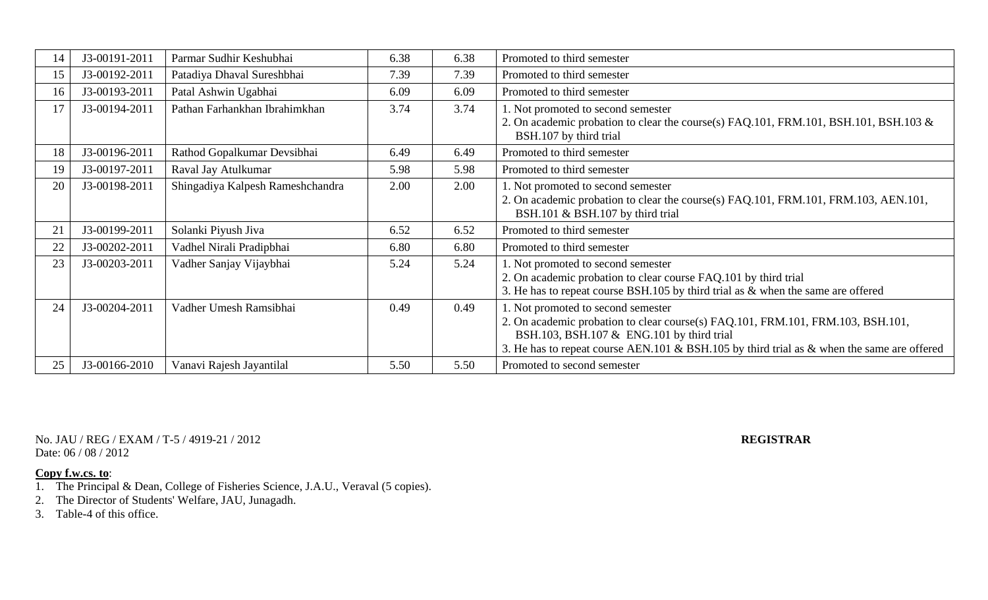| 14 | J3-00191-2011 | Parmar Sudhir Keshubhai          | 6.38 | 6.38 | Promoted to third semester                                                                                                                                                                                                                                          |
|----|---------------|----------------------------------|------|------|---------------------------------------------------------------------------------------------------------------------------------------------------------------------------------------------------------------------------------------------------------------------|
| 15 | J3-00192-2011 | Patadiya Dhaval Sureshbhai       | 7.39 | 7.39 | Promoted to third semester                                                                                                                                                                                                                                          |
| 16 | J3-00193-2011 | Patal Ashwin Ugabhai             | 6.09 | 6.09 | Promoted to third semester                                                                                                                                                                                                                                          |
| 17 | J3-00194-2011 | Pathan Farhankhan Ibrahimkhan    | 3.74 | 3.74 | 1. Not promoted to second semester<br>2. On academic probation to clear the course(s) FAQ.101, FRM.101, BSH.101, BSH.103 &<br>BSH.107 by third trial                                                                                                                |
| 18 | J3-00196-2011 | Rathod Gopalkumar Devsibhai      | 6.49 | 6.49 | Promoted to third semester                                                                                                                                                                                                                                          |
| 19 | J3-00197-2011 | Raval Jay Atulkumar              | 5.98 | 5.98 | Promoted to third semester                                                                                                                                                                                                                                          |
| 20 | J3-00198-2011 | Shingadiya Kalpesh Rameshchandra | 2.00 | 2.00 | 1. Not promoted to second semester<br>2. On academic probation to clear the course(s) FAQ.101, FRM.101, FRM.103, AEN.101,<br>BSH.101 & BSH.107 by third trial                                                                                                       |
| 21 | J3-00199-2011 | Solanki Piyush Jiva              | 6.52 | 6.52 | Promoted to third semester                                                                                                                                                                                                                                          |
| 22 | J3-00202-2011 | Vadhel Nirali Pradipbhai         | 6.80 | 6.80 | Promoted to third semester                                                                                                                                                                                                                                          |
| 23 | J3-00203-2011 | Vadher Sanjay Vijaybhai          | 5.24 | 5.24 | 1. Not promoted to second semester<br>2. On academic probation to clear course FAQ.101 by third trial<br>3. He has to repeat course BSH.105 by third trial as $\&$ when the same are offered                                                                        |
| 24 | J3-00204-2011 | Vadher Umesh Ramsibhai           | 0.49 | 0.49 | 1. Not promoted to second semester<br>2. On academic probation to clear course(s) FAQ.101, FRM.101, FRM.103, BSH.101,<br>BSH.103, BSH.107 & ENG.101 by third trial<br>3. He has to repeat course AEN.101 & BSH.105 by third trial as $\&$ when the same are offered |
| 25 | J3-00166-2010 | Vanavi Rajesh Jayantilal         | 5.50 | 5.50 | Promoted to second semester                                                                                                                                                                                                                                         |

No. JAU / REG / EXAM / T-5 / 4919-21 / 2012 **REGISTRAR** Date: 06 / 08 / 2012

- 1. The Principal & Dean, College of Fisheries Science, J.A.U., Veraval (5 copies).
- 2. The Director of Students' Welfare, JAU, Junagadh.
- 3. Table-4 of this office.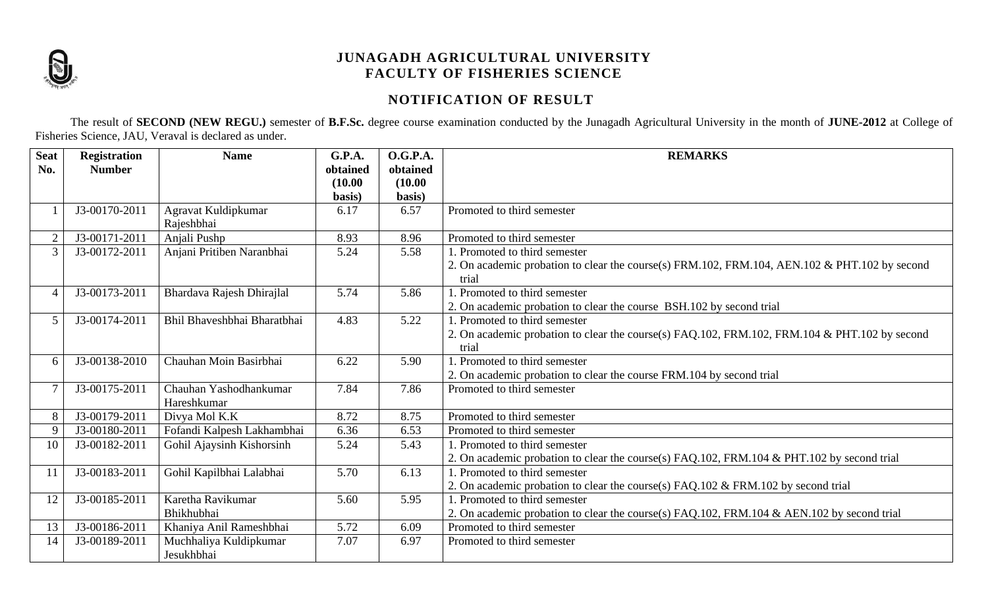

# **NOTIFICATION OF RESULT**

The result of **SECOND (NEW REGU.)** semester of **B.F.Sc.** degree course examination conducted by the Junagadh Agricultural University in the month of **JUNE-2012** at College of Fisheries Science, JAU, Veraval is declared as under.

| <b>Seat</b>    | <b>Registration</b> | <b>Name</b>                 | G.P.A.   | <b>O.G.P.A.</b> | <b>REMARKS</b>                                                                                |
|----------------|---------------------|-----------------------------|----------|-----------------|-----------------------------------------------------------------------------------------------|
| No.            | <b>Number</b>       |                             | obtained | obtained        |                                                                                               |
|                |                     |                             | (10.00)  | (10.00)         |                                                                                               |
|                |                     |                             | basis)   | basis)          |                                                                                               |
|                | J3-00170-2011       | Agravat Kuldipkumar         | 6.17     | 6.57            | Promoted to third semester                                                                    |
|                |                     | Rajeshbhai                  |          |                 |                                                                                               |
| $\overline{2}$ | J3-00171-2011       | Anjali Pushp                | 8.93     | 8.96            | Promoted to third semester                                                                    |
| 3              | J3-00172-2011       | Anjani Pritiben Naranbhai   | 5.24     | 5.58            | 1. Promoted to third semester                                                                 |
|                |                     |                             |          |                 | 2. On academic probation to clear the course(s) FRM.102, FRM.104, AEN.102 & PHT.102 by second |
|                |                     |                             |          |                 | trial                                                                                         |
| 4              | J3-00173-2011       | Bhardava Rajesh Dhirajlal   | 5.74     | 5.86            | 1. Promoted to third semester                                                                 |
|                |                     |                             |          |                 | 2. On academic probation to clear the course BSH.102 by second trial                          |
| 5              | J3-00174-2011       | Bhil Bhaveshbhai Bharatbhai | 4.83     | 5.22            | 1. Promoted to third semester                                                                 |
|                |                     |                             |          |                 | 2. On academic probation to clear the course(s) FAQ.102, FRM.102, FRM.104 & PHT.102 by second |
|                |                     |                             |          |                 | trial                                                                                         |
| 6              | J3-00138-2010       | Chauhan Moin Basirbhai      | 6.22     | 5.90            | 1. Promoted to third semester                                                                 |
|                |                     |                             |          |                 | 2. On academic probation to clear the course FRM.104 by second trial                          |
|                | J3-00175-2011       | Chauhan Yashodhankumar      | 7.84     | 7.86            | Promoted to third semester                                                                    |
|                |                     | Hareshkumar                 |          |                 |                                                                                               |
| 8              | J3-00179-2011       | Divya Mol K.K               | 8.72     | 8.75            | Promoted to third semester                                                                    |
| 9              | J3-00180-2011       | Fofandi Kalpesh Lakhambhai  | 6.36     | 6.53            | Promoted to third semester                                                                    |
| 10             | J3-00182-2011       | Gohil Ajaysinh Kishorsinh   | 5.24     | 5.43            | 1. Promoted to third semester                                                                 |
|                |                     |                             |          |                 | 2. On academic probation to clear the course(s) FAQ.102, FRM.104 & PHT.102 by second trial    |
| 11             | J3-00183-2011       | Gohil Kapilbhai Lalabhai    | 5.70     | 6.13            | 1. Promoted to third semester                                                                 |
|                |                     |                             |          |                 | 2. On academic probation to clear the course(s) FAQ.102 & FRM.102 by second trial             |
| 12             | J3-00185-2011       | Karetha Ravikumar           | 5.60     | 5.95            | 1. Promoted to third semester                                                                 |
|                |                     | Bhikhubhai                  |          |                 | 2. On academic probation to clear the course(s) FAQ.102, FRM.104 & AEN.102 by second trial    |
| 13             | J3-00186-2011       | Khaniya Anil Rameshbhai     | 5.72     | 6.09            | Promoted to third semester                                                                    |
| 14             | J3-00189-2011       | Muchhaliya Kuldipkumar      | 7.07     | 6.97            | Promoted to third semester                                                                    |
|                |                     | Jesukhbhai                  |          |                 |                                                                                               |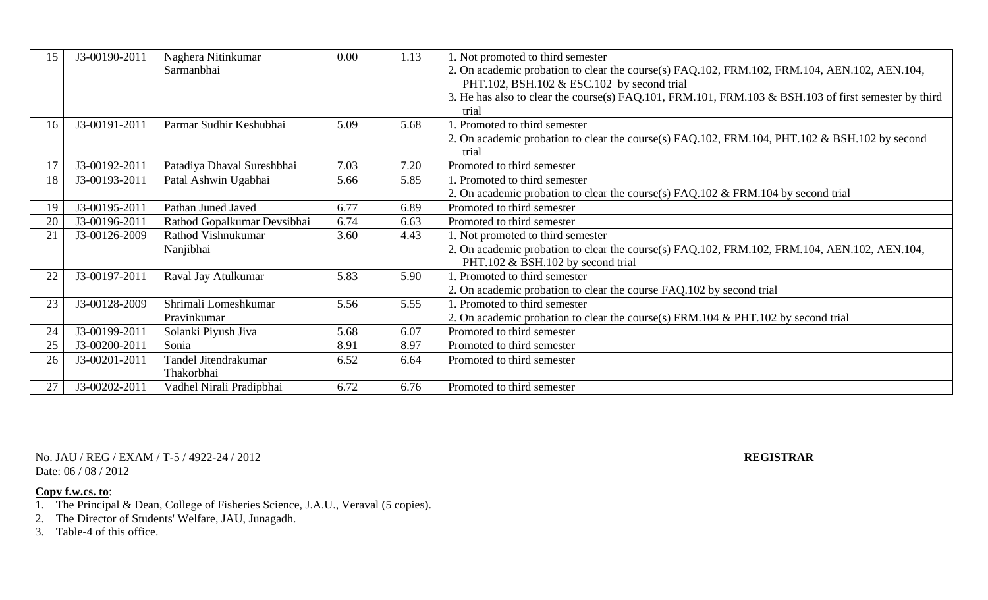| 15 | J3-00190-2011 | Naghera Nitinkumar          | 0.00 | 1.13 | 1. Not promoted to third semester                                                                    |
|----|---------------|-----------------------------|------|------|------------------------------------------------------------------------------------------------------|
|    |               | Sarmanbhai                  |      |      | 2. On academic probation to clear the course(s) FAQ.102, FRM.102, FRM.104, AEN.102, AEN.104,         |
|    |               |                             |      |      | PHT.102, BSH.102 & ESC.102 by second trial                                                           |
|    |               |                             |      |      | 3. He has also to clear the course(s) FAQ.101, FRM.101, FRM.103 & BSH.103 of first semester by third |
|    |               |                             |      |      | trial                                                                                                |
| 16 | J3-00191-2011 | Parmar Sudhir Keshubhai     | 5.09 | 5.68 | 1. Promoted to third semester                                                                        |
|    |               |                             |      |      | 2. On academic probation to clear the course(s) FAQ.102, FRM.104, PHT.102 & BSH.102 by second        |
|    |               |                             |      |      | trial                                                                                                |
| 17 | J3-00192-2011 | Patadiya Dhaval Sureshbhai  | 7.03 | 7.20 | Promoted to third semester                                                                           |
| 18 | J3-00193-2011 | Patal Ashwin Ugabhai        | 5.66 | 5.85 | 1. Promoted to third semester                                                                        |
|    |               |                             |      |      | 2. On academic probation to clear the course(s) FAQ.102 & FRM.104 by second trial                    |
| 19 | J3-00195-2011 | Pathan Juned Javed          | 6.77 | 6.89 | Promoted to third semester                                                                           |
| 20 | J3-00196-2011 | Rathod Gopalkumar Devsibhai | 6.74 | 6.63 | Promoted to third semester                                                                           |
| 21 | J3-00126-2009 | Rathod Vishnukumar          | 3.60 | 4.43 | 1. Not promoted to third semester                                                                    |
|    |               | Nanjibhai                   |      |      | 2. On academic probation to clear the course(s) FAQ.102, FRM.102, FRM.104, AEN.102, AEN.104,         |
|    |               |                             |      |      | PHT.102 & BSH.102 by second trial                                                                    |
| 22 | J3-00197-2011 | Raval Jay Atulkumar         | 5.83 | 5.90 | . Promoted to third semester                                                                         |
|    |               |                             |      |      | 2. On academic probation to clear the course FAQ.102 by second trial                                 |
| 23 | J3-00128-2009 | Shrimali Lomeshkumar        | 5.56 | 5.55 | 1. Promoted to third semester                                                                        |
|    |               | Pravinkumar                 |      |      | 2. On academic probation to clear the course(s) FRM.104 & PHT.102 by second trial                    |
| 24 | J3-00199-2011 | Solanki Piyush Jiva         | 5.68 | 6.07 | Promoted to third semester                                                                           |
| 25 | J3-00200-2011 | Sonia                       | 8.91 | 8.97 | Promoted to third semester                                                                           |
| 26 | J3-00201-2011 | Tandel Jitendrakumar        | 6.52 | 6.64 | Promoted to third semester                                                                           |
|    |               | Thakorbhai                  |      |      |                                                                                                      |
| 27 | J3-00202-2011 | Vadhel Nirali Pradipbhai    | 6.72 | 6.76 | Promoted to third semester                                                                           |

No. JAU / REG / EXAM / T-5 / 4922-24 / 2012 **REGISTRAR** Date: 06 / 08 / 2012

- 1. The Principal & Dean, College of Fisheries Science, J.A.U., Veraval (5 copies).
- 2. The Director of Students' Welfare, JAU, Junagadh.
- 3. Table-4 of this office.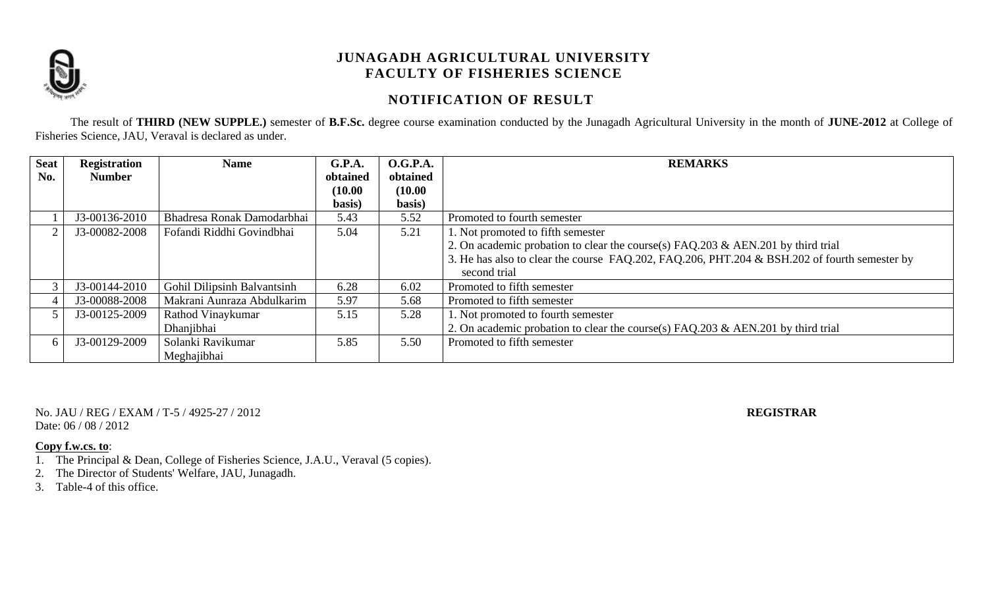

## **NOTIFICATION OF RESULT**

The result of **THIRD (NEW SUPPLE.)** semester of **B.F.Sc.** degree course examination conducted by the Junagadh Agricultural University in the month of **JUNE-2012** at College of Fisheries Science, JAU, Veraval is declared as under.

| <b>Seat</b> | <b>Registration</b> | <b>Name</b>                 | G.P.A.   | <b>O.G.P.A.</b> | <b>REMARKS</b>                                                                               |
|-------------|---------------------|-----------------------------|----------|-----------------|----------------------------------------------------------------------------------------------|
| No.         | <b>Number</b>       |                             | obtained | obtained        |                                                                                              |
|             |                     |                             | (10.00)  | (10.00)         |                                                                                              |
|             |                     |                             | basis)   | basis)          |                                                                                              |
|             | J3-00136-2010       | Bhadresa Ronak Damodarbhai  | 5.43     | 5.52            | Promoted to fourth semester                                                                  |
|             | J3-00082-2008       | Fofandi Riddhi Govindbhai   | 5.04     | 5.21            | 1. Not promoted to fifth semester                                                            |
|             |                     |                             |          |                 | 2. On academic probation to clear the course(s) FAQ.203 & AEN.201 by third trial             |
|             |                     |                             |          |                 | 3. He has also to clear the course FAQ.202, FAQ.206, PHT.204 & BSH.202 of fourth semester by |
|             |                     |                             |          |                 | second trial                                                                                 |
|             | J3-00144-2010       | Gohil Dilipsinh Balvantsinh | 6.28     | 6.02            | Promoted to fifth semester                                                                   |
|             | J3-00088-2008       | Makrani Aunraza Abdulkarim  | 5.97     | 5.68            | Promoted to fifth semester                                                                   |
|             | J3-00125-2009       | Rathod Vinaykumar           | 5.15     | 5.28            | 1. Not promoted to fourth semester                                                           |
|             |                     | Dhanjibhai                  |          |                 | 2. On academic probation to clear the course(s) $FAQ.203 \& AEN.201$ by third trial          |
|             | J3-00129-2009       | Solanki Ravikumar           | 5.85     | 5.50            | Promoted to fifth semester                                                                   |
|             |                     | Meghajibhai                 |          |                 |                                                                                              |

No. JAU / REG / EXAM / T-5 / 4925-27 / 2012 **REGISTRAR** Date: 06 / 08 / 2012

- 1. The Principal & Dean, College of Fisheries Science, J.A.U., Veraval (5 copies).
- 2. The Director of Students' Welfare, JAU, Junagadh.
- 3. Table-4 of this office.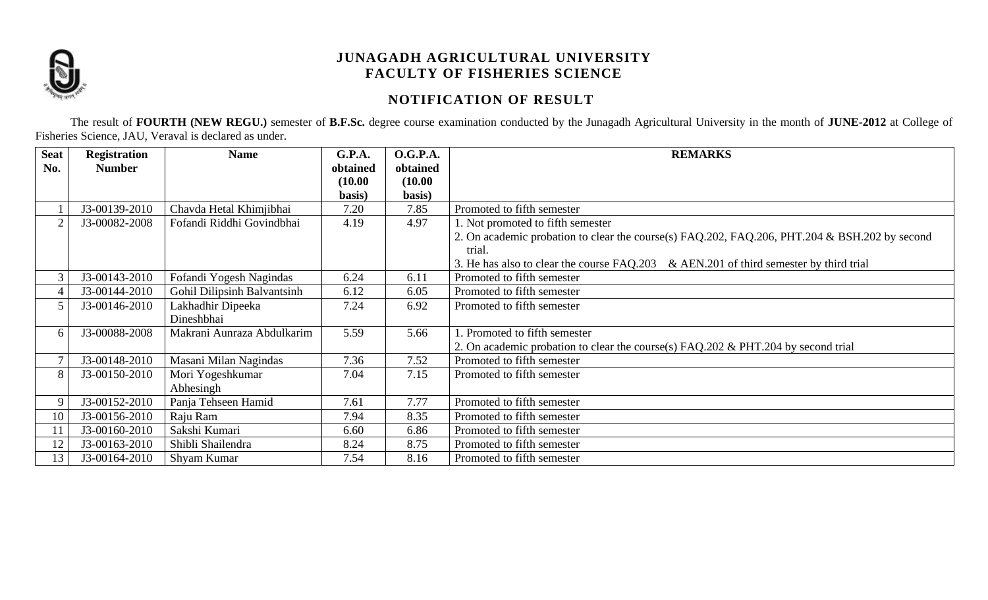

# **NOTIFICATION OF RESULT**

The result of **FOURTH (NEW REGU.)** semester of **B.F.Sc.** degree course examination conducted by the Junagadh Agricultural University in the month of **JUNE-2012** at College of Fisheries Science, JAU, Veraval is declared as under.

| <b>Seat</b>    | <b>Registration</b> | <b>Name</b>                 | G.P.A.   | <b>O.G.P.A.</b> | <b>REMARKS</b>                                                                                |
|----------------|---------------------|-----------------------------|----------|-----------------|-----------------------------------------------------------------------------------------------|
| No.            | <b>Number</b>       |                             | obtained | obtained        |                                                                                               |
|                |                     |                             | (10.00)  | (10.00)         |                                                                                               |
|                |                     |                             | basis)   | basis)          |                                                                                               |
|                | J3-00139-2010       | Chavda Hetal Khimjibhai     | 7.20     | 7.85            | Promoted to fifth semester                                                                    |
| $\overline{2}$ | J3-00082-2008       | Fofandi Riddhi Govindbhai   | 4.19     | 4.97            | 1. Not promoted to fifth semester                                                             |
|                |                     |                             |          |                 | 2. On academic probation to clear the course(s) FAQ.202, FAQ.206, PHT.204 & BSH.202 by second |
|                |                     |                             |          |                 | trial.                                                                                        |
|                |                     |                             |          |                 | 3. He has also to clear the course FAQ.203 & AEN.201 of third semester by third trial         |
| 3              | J3-00143-2010       | Fofandi Yogesh Nagindas     | 6.24     | 6.11            | Promoted to fifth semester                                                                    |
| 4              | J3-00144-2010       | Gohil Dilipsinh Balvantsinh | 6.12     | 6.05            | Promoted to fifth semester                                                                    |
| 5              | J3-00146-2010       | Lakhadhir Dipeeka           | 7.24     | 6.92            | Promoted to fifth semester                                                                    |
|                |                     | Dineshbhai                  |          |                 |                                                                                               |
| 6              | J3-00088-2008       | Makrani Aunraza Abdulkarim  | 5.59     | 5.66            | . Promoted to fifth semester                                                                  |
|                |                     |                             |          |                 | 2. On academic probation to clear the course(s) FAQ.202 & PHT.204 by second trial             |
|                | J3-00148-2010       | Masani Milan Nagindas       | 7.36     | 7.52            | Promoted to fifth semester                                                                    |
| 8              | J3-00150-2010       | Mori Yogeshkumar            | 7.04     | 7.15            | Promoted to fifth semester                                                                    |
|                |                     | Abhesingh                   |          |                 |                                                                                               |
| 9              | J3-00152-2010       | Panja Tehseen Hamid         | 7.61     | 7.77            | Promoted to fifth semester                                                                    |
| 10             | J3-00156-2010       | Raju Ram                    | 7.94     | 8.35            | Promoted to fifth semester                                                                    |
|                | J3-00160-2010       | Sakshi Kumari               | 6.60     | 6.86            | Promoted to fifth semester                                                                    |
| 12             | J3-00163-2010       | Shibli Shailendra           | 8.24     | 8.75            | Promoted to fifth semester                                                                    |
| 13             | J3-00164-2010       | Shyam Kumar                 | 7.54     | 8.16            | Promoted to fifth semester                                                                    |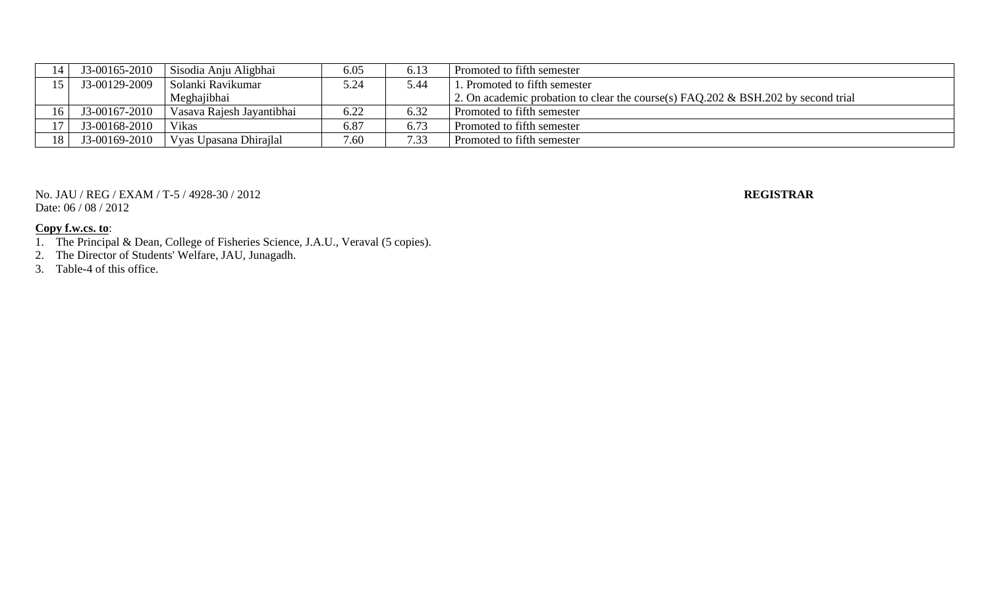|                 | I3-00165-2010 | Sisodia Anju Aligbhai     | 6.05 | 6.13 | Promoted to fifth semester                                                           |
|-----------------|---------------|---------------------------|------|------|--------------------------------------------------------------------------------------|
|                 | J3-00129-2009 | Solanki Ravikumar         | 5.24 | 44.ز | . Promoted to fifth semester                                                         |
|                 |               | Meghajibhai               |      |      | 2. On academic probation to clear the course(s) $FAO.202 \& BSH.202$ by second trial |
| 16              | J3-00167-2010 | Vasava Rajesh Jayantibhai | 6.22 | 6.32 | Promoted to fifth semester                                                           |
|                 | J3-00168-2010 | <b>Vikas</b>              | 6.87 | 6.73 | Promoted to fifth semester                                                           |
| 18 <sub>1</sub> | J3-00169-2010 | Vyas Upasana Dhirajlal    | 7.60 | 7.33 | Promoted to fifth semester                                                           |

No. JAU / REG / EXAM / T-5 / 4928-30 / 2012 **REGISTRAR** Date: 06 / 08 / 2012

- 1. The Principal & Dean, College of Fisheries Science, J.A.U., Veraval (5 copies).
- 2. The Director of Students' Welfare, JAU, Junagadh.
- 3. Table-4 of this office.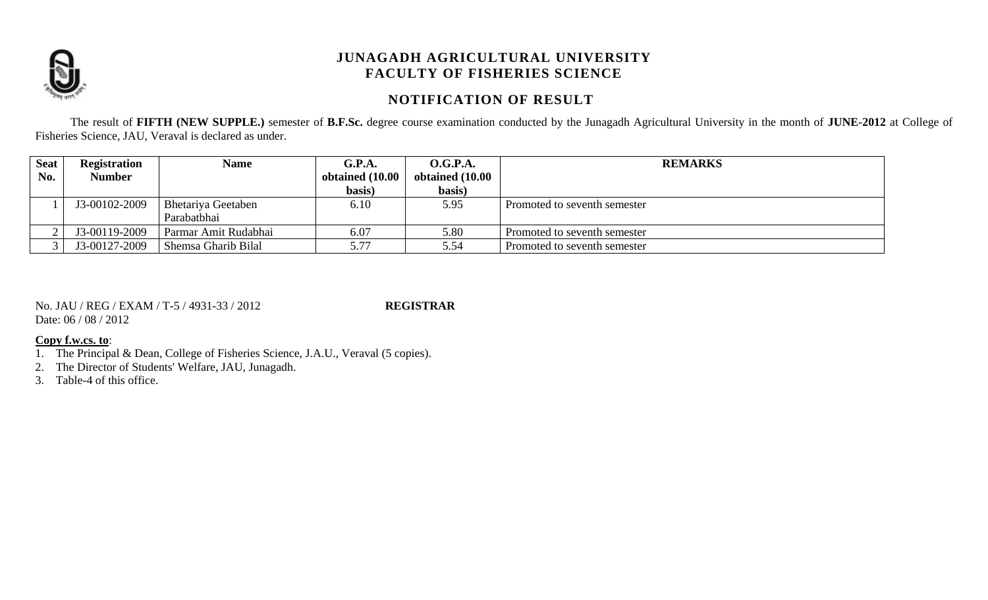

## **NOTIFICATION OF RESULT**

The result of **FIFTH (NEW SUPPLE.)** semester of **B.F.Sc.** degree course examination conducted by the Junagadh Agricultural University in the month of **JUNE-2012** at College of Fisheries Science, JAU, Veraval is declared as under.

| <b>Seat</b> | <b>Registration</b> | <b>Name</b>          | G.P.A.          | <b>O.G.P.A.</b> | <b>REMARKS</b>               |
|-------------|---------------------|----------------------|-----------------|-----------------|------------------------------|
| No.         | <b>Number</b>       |                      | obtained (10.00 | obtained (10.00 |                              |
|             |                     |                      | basis)          | basis)          |                              |
|             | J3-00102-2009       | Bhetariya Geetaben   | 6.10            | 5.95            | Promoted to seventh semester |
|             |                     | Parabatbhai          |                 |                 |                              |
| ∠           | J3-00119-2009       | Parmar Amit Rudabhai | 6.07            | 5.80            | Promoted to seventh semester |
|             | J3-00127-2009       | Shemsa Gharib Bilal  | 5.77            | 5.54            | Promoted to seventh semester |

No. JAU / REG / EXAM / T-5 / 4931-33 / 2012 **REGISTRAR** Date: 06 / 08 / 2012

#### **Copy f.w.cs. to**:

1. The Principal & Dean, College of Fisheries Science, J.A.U., Veraval (5 copies).

2. The Director of Students' Welfare, JAU, Junagadh.

3. Table-4 of this office.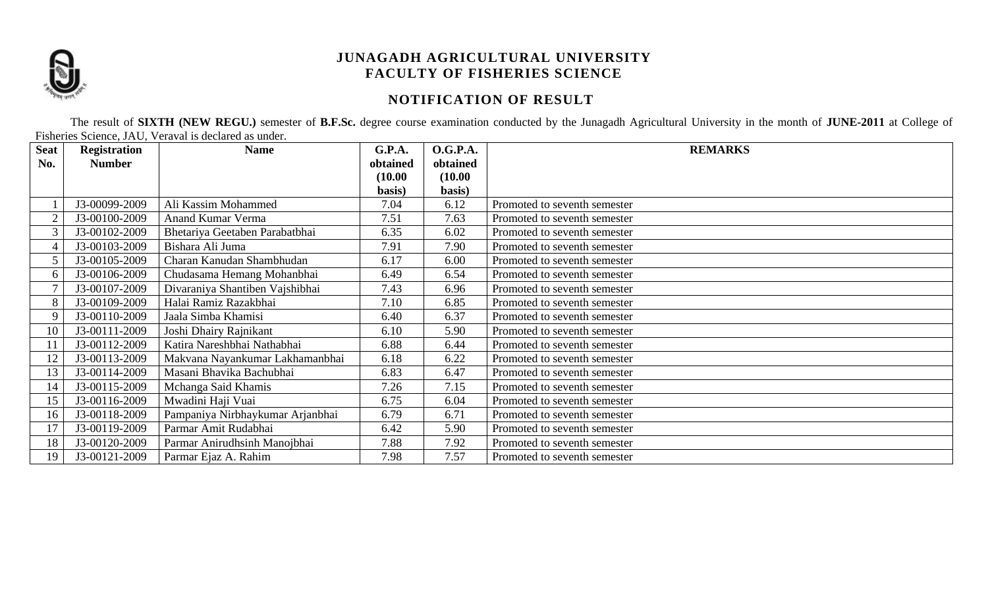

# **NOTIFICATION OF RESULT**

The result of **SIXTH (NEW REGU.)** semester of **B.F.Sc.** degree course examination conducted by the Junagadh Agricultural University in the month of **JUNE-2011** at College of Fisheries Science, JAU, Veraval is declared as under.

| <b>Seat</b> | <b>Registration</b> | <b>Name</b>                      | G.P.A.   | <b>O.G.P.A.</b> | <b>REMARKS</b>               |
|-------------|---------------------|----------------------------------|----------|-----------------|------------------------------|
| No.         | <b>Number</b>       |                                  | obtained | obtained        |                              |
|             |                     |                                  | (10.00)  | (10.00)         |                              |
|             |                     |                                  | basis)   | basis)          |                              |
|             | J3-00099-2009       | Ali Kassim Mohammed              | 7.04     | 6.12            | Promoted to seventh semester |
|             | J3-00100-2009       | Anand Kumar Verma                | 7.51     | 7.63            | Promoted to seventh semester |
|             | J3-00102-2009       | Bhetariya Geetaben Parabatbhai   | 6.35     | 6.02            | Promoted to seventh semester |
|             | J3-00103-2009       | Bishara Ali Juma                 | 7.91     | 7.90            | Promoted to seventh semester |
|             | J3-00105-2009       | Charan Kanudan Shambhudan        | 6.17     | 6.00            | Promoted to seventh semester |
| 6           | J3-00106-2009       | Chudasama Hemang Mohanbhai       | 6.49     | 6.54            | Promoted to seventh semester |
|             | J3-00107-2009       | Divaraniya Shantiben Vajshibhai  | 7.43     | 6.96            | Promoted to seventh semester |
|             | J3-00109-2009       | Halai Ramiz Razakbhai            | 7.10     | 6.85            | Promoted to seventh semester |
| 9           | J3-00110-2009       | Jaala Simba Khamisi              | 6.40     | 6.37            | Promoted to seventh semester |
| 10          | J3-00111-2009       | Joshi Dhairy Rajnikant           | 6.10     | 5.90            | Promoted to seventh semester |
|             | J3-00112-2009       | Katira Nareshbhai Nathabhai      | 6.88     | 6.44            | Promoted to seventh semester |
| 12          | J3-00113-2009       | Makvana Nayankumar Lakhamanbhai  | 6.18     | 6.22            | Promoted to seventh semester |
| 13          | J3-00114-2009       | Masani Bhavika Bachubhai         | 6.83     | 6.47            | Promoted to seventh semester |
| 14          | J3-00115-2009       | Mchanga Said Khamis              | 7.26     | 7.15            | Promoted to seventh semester |
| 15          | J3-00116-2009       | Mwadini Haji Vuai                | 6.75     | 6.04            | Promoted to seventh semester |
| 16          | J3-00118-2009       | Pampaniya Nirbhaykumar Arjanbhai | 6.79     | 6.71            | Promoted to seventh semester |
| 17          | J3-00119-2009       | Parmar Amit Rudabhai             | 6.42     | 5.90            | Promoted to seventh semester |
| 18          | J3-00120-2009       | Parmar Anirudhsinh Manojbhai     | 7.88     | 7.92            | Promoted to seventh semester |
| 19          | J3-00121-2009       | Parmar Ejaz A. Rahim             | 7.98     | 7.57            | Promoted to seventh semester |